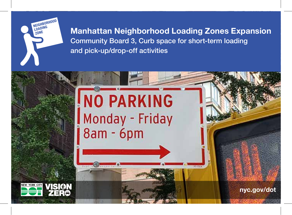

Manhattan Neighborhood Loading Zones Expansion Community Board 3, Curb space for short-term loading and pick-up/drop-off activities

**PS-256A** 

## **NO PARKING** Monday - Friday 8am - 6pm



nyc.gov/dot